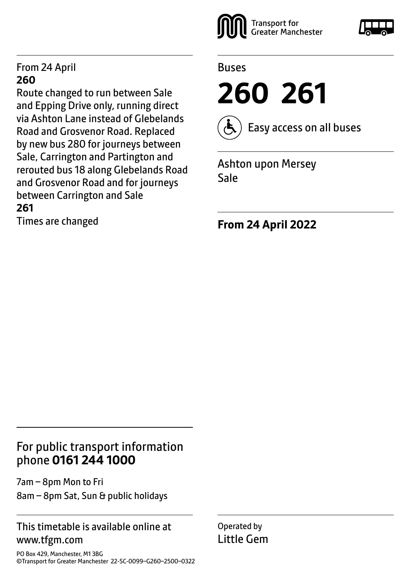#### From 24 April **260**

Route changed to run between Sale and Epping Drive only, running direct via Ashton Lane instead of Glebelands Road and Grosvenor Road. Replaced by new bus 280 for journeys between Sale, Carrington and Partington and rerouted bus 18 along Glebelands Road and Grosvenor Road and for journeys between Carrington and Sale **261**

Times are changed





**260 261** 



Easy access on all buses

Ashton upon Mersey Sale

**From 24 April 2022**

### For public transport information phone **0161 244 1000**

7am – 8pm Mon to Fri 8am – 8pm Sat, Sun & public holidays

#### This timetable is available online at www.tfgm.com

PO Box 429, Manchester, M1 3BG ©Transport for Greater Manchester 22-SC-0099–G260–2500–0322 Operated by Little Gem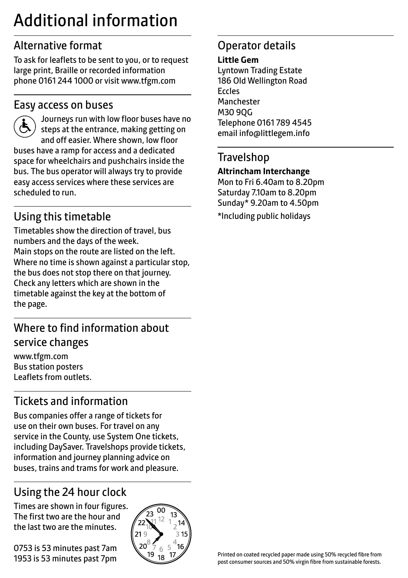## Additional information

## Alternative format

To ask for leaflets to be sent to you, or to request large print, Braille or recorded information phone 0161 244 1000 or visit www.tfgm.com

#### Easy access on buses



 Journeys run with low floor buses have no steps at the entrance, making getting on and off easier. Where shown, low floor buses have a ramp for access and a dedicated space for wheelchairs and pushchairs inside the bus. The bus operator will always try to provide easy access services where these services are scheduled to run.

## Using this timetable

Timetables show the direction of travel, bus numbers and the days of the week. Main stops on the route are listed on the left. Where no time is shown against a particular stop, the bus does not stop there on that journey. Check any letters which are shown in the timetable against the key at the bottom of the page.

## Where to find information about service changes

www.tfgm.com Bus station posters Leaflets from outlets.

## Tickets and information

Bus companies offer a range of tickets for use on their own buses. For travel on any service in the County, use System One tickets, including DaySaver. Travelshops provide tickets, information and journey planning advice on buses, trains and trams for work and pleasure.

## Using the 24 hour clock

Times are shown in four figures. The first two are the hour and the last two are the minutes.

0753 is 53 minutes past 7am 1953 is 53 minutes past 7pm



## Operator details

#### **Little Gem**

Lyntown Trading Estate 186 Old Wellington Road Eccles Manchester M30 9QG Telephone 0161 789 4545 email info@littlegem.info

#### **Travelshop**

#### **Altrincham Interchange**

Mon to Fri 6.40am to 8.20pm Saturday 7.10am to 8.20pm Sunday\* 9.20am to 4.50pm \*Including public holidays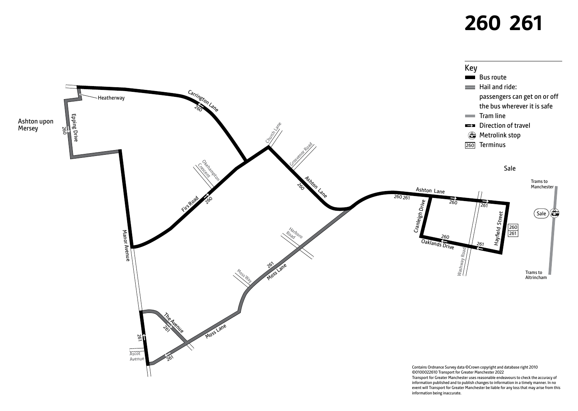# **260 261**